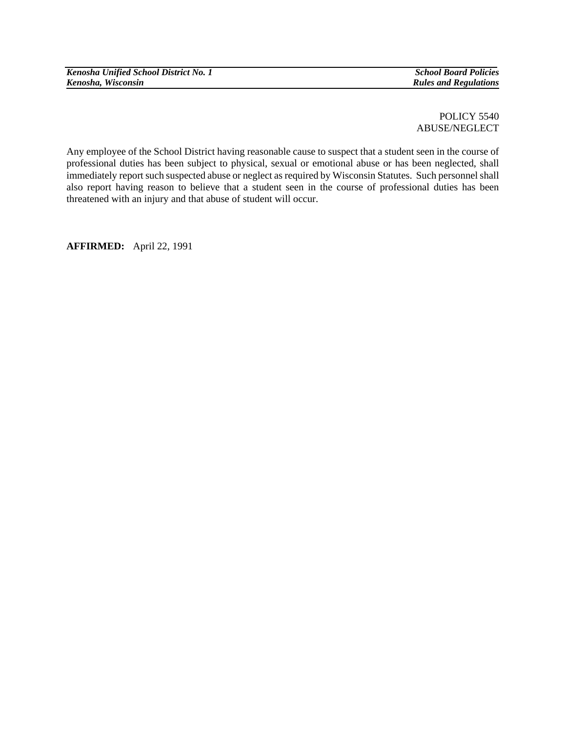*Kenosha Unified School District No. 1* School Board Policies *School Board Policies*<br> *Kenosha, Wisconsin* 

POLICY 5540 ABUSE/NEGLECT

Any employee of the School District having reasonable cause to suspect that a student seen in the course of professional duties has been subject to physical, sexual or emotional abuse or has been neglected, shall immediately report such suspected abuse or neglect as required by Wisconsin Statutes. Such personnel shall also report having reason to believe that a student seen in the course of professional duties has been threatened with an injury and that abuse of student will occur.

**AFFIRMED:** April 22, 1991